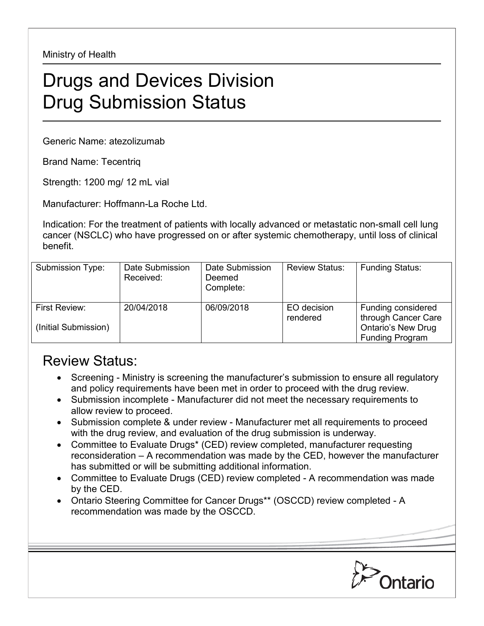Ministry of Health

## Drugs and Devices Division Drug Submission Status

Generic Name: atezolizumab

Brand Name: Tecentriq

Strength: 1200 mg/ 12 mL vial

Manufacturer: Hoffmann-La Roche Ltd.

Indication: For the treatment of patients with locally advanced or metastatic non-small cell lung cancer (NSCLC) who have progressed on or after systemic chemotherapy, until loss of clinical benefit.

| Submission Type:                      | Date Submission<br>Received: | Date Submission<br>Deemed<br>Complete: | <b>Review Status:</b>   | <b>Funding Status:</b>                                                                           |
|---------------------------------------|------------------------------|----------------------------------------|-------------------------|--------------------------------------------------------------------------------------------------|
| First Review:<br>(Initial Submission) | 20/04/2018                   | 06/09/2018                             | EO decision<br>rendered | Funding considered<br>through Cancer Care<br><b>Ontario's New Drug</b><br><b>Funding Program</b> |

## Review Status:

- Screening Ministry is screening the manufacturer's submission to ensure all regulatory and policy requirements have been met in order to proceed with the drug review.
- Submission incomplete Manufacturer did not meet the necessary requirements to allow review to proceed.
- Submission complete & under review Manufacturer met all requirements to proceed with the drug review, and evaluation of the drug submission is underway.
- Committee to Evaluate Drugs\* (CED) review completed, manufacturer requesting reconsideration – A recommendation was made by the CED, however the manufacturer has submitted or will be submitting additional information.
- Committee to Evaluate Drugs (CED) review completed A recommendation was made by the CED.
- Ontario Steering Committee for Cancer Drugs\*\* (OSCCD) review completed A recommendation was made by the OSCCD.